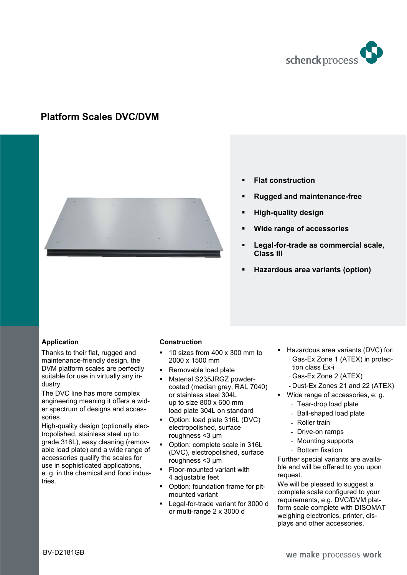

# **Platform Scales DVC/DVM**



- **Flat construction**
- **Rugged and maintenance-free**
- **High-quality design**
- **Wide range of accessories**
- **Legal-for-trade as commercial scale, Class III**
- **Hazardous area variants (option)**

## **Application**

Thanks to their flat, rugged and maintenance-friendly design, the DVM platform scales are perfectly suitable for use in virtually any industry.

The DVC line has more complex engineering meaning it offers a wider spectrum of designs and accessories.

High-quality design (optionally electropolished, stainless steel up to grade 316L), easy cleaning (removable load plate) and a wide range of accessories qualify the scales for use in sophisticated applications, e. g. in the chemical and food industries.

## **Construction**

- 10 sizes from 400 x 300 mm to 2000 x 1500 mm
- Removable load plate
- Material S235JRGZ powdercoated (median grey, RAL 7040) or stainless steel 304L up to size 800 x 600 mm load plate 304L on standard
- Option: load plate 316L (DVC) electropolished, surface roughness <3 μm
- Option: complete scale in 316L (DVC), electropolished, surface roughness <3 μm
- Floor-mounted variant with 4 adjustable feet
- Option: foundation frame for pitmounted variant
- Legal-for-trade variant for 3000 d or multi-range 2 x 3000 d
- Hazardous area variants (DVC) for: - Gas-Ex Zone 1 (ATEX) in protection class Ex-i
	- Gas-Ex Zone 2 (ATEX)
	- Dust-Ex Zones 21 and 22 (ATEX)
- Wide range of accessories, e. g.
- Tear-drop load plate
	- Ball-shaped load plate
	- Roller train
	- Drive-on ramps
	- Mounting supports
	- Bottom fixation

Further special variants are available and will be offered to you upon request.

We will be pleased to suggest a complete scale configured to your requirements, e.g. DVC/DVM platform scale complete with DISOMAT weighing electronics, printer, displays and other accessories.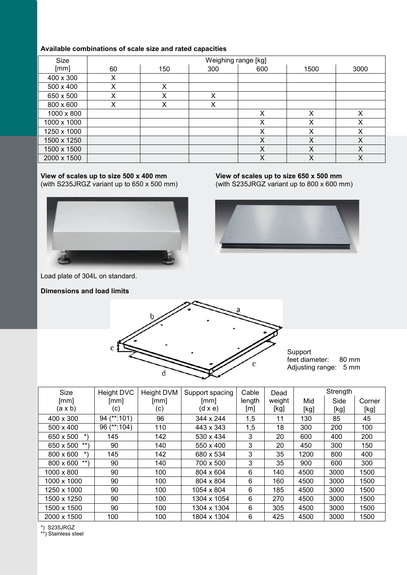# **Available combinations of scale size and rated capacities**

| <b>Size</b> |    |     | Weighing range [kg] |     |      |      |
|-------------|----|-----|---------------------|-----|------|------|
| [mm]        | 60 | 150 | 300                 | 600 | 1500 | 3000 |
| 400 x 300   | X  |     |                     |     |      |      |
| 500 x 400   | X  | X   |                     |     |      |      |
| 650 x 500   | X  | x   | x                   |     |      |      |
| 800 x 600   | X  | x   | х                   |     |      |      |
| 1000 x 800  |    |     |                     | X   | Χ    | х    |
| 1000 x 1000 |    |     |                     | X   | X    | х    |
| 1250 x 1000 |    |     |                     | Х   | Χ    | Χ    |
| 1500 x 1250 |    |     |                     | X   | Χ    | Χ    |
| 1500 x 1500 |    |     |                     | X   | X    | X    |
| 2000 x 1500 |    |     |                     | X   | Χ    | Χ    |

## **View of scales up to size 500 x 400 mm** (with S235JRGZ variant up to 650 x 500 mm)



Load plate of 304L on standard.

**Dimensions and load limits**



(with S235JRGZ variant up to 800 x 600 mm)





Support feet diameter: 80 mm Adjusting range: 5 mm

| <b>Size</b>             | Height DVC  | <b>Height DVM</b> | Support spacing | Cable  | Dead   |      | Strength |        |
|-------------------------|-------------|-------------------|-----------------|--------|--------|------|----------|--------|
| $\lceil mm \rceil$      | [mm]        | [mm]              | [mm]            | length | weight | Mid  | Side     | Corner |
| (a x b)                 | (c)         | (c)               | $(d \times e)$  | [m]    | [kg]   | [kg] | [kg]     | [kg]   |
| 400 x 300               | 94 (**:101) | 96                | 344 x 244       | 1,5    | 11     | 130  | 85       | 45     |
| 500 x 400               | 96 (**:104) | 110               | 443 x 343       | 1,5    | 18     | 300  | 200      | 100    |
| 650 x 500<br>$^{\star}$ | 145         | 142               | 530 x 434       | 3      | 20     | 600  | 400      | 200    |
| 650 x 500<br>$***$      | 90          | 140               | 550 x 400       | 3      | 20     | 450  | 300      | 150    |
| 800 x 600<br>*)         | 145         | 142               | 680 x 534       | 3      | 35     | 1200 | 800      | 400    |
| $***$<br>800 x 600      | 90          | 140               | 700 x 500       | 3      | 35     | 900  | 600      | 300    |
| 1000 x 800              | 90          | 100               | 804 x 604       | 6      | 140    | 4500 | 3000     | 1500   |
| 1000 x 1000             | 90          | 100               | 804 x 804       | 6      | 160    | 4500 | 3000     | 1500   |
| 1250 x 1000             | 90          | 100               | 1054 x 804      | 6      | 185    | 4500 | 3000     | 1500   |
| 1500 x 1250             | 90          | 100               | 1304 x 1054     | 6      | 270    | 4500 | 3000     | 1500   |
| 1500 x 1500             | 90          | 100               | 1304 x 1304     | 6      | 305    | 4500 | 3000     | 1500   |
| 2000 x 1500             | 100         | 100               | 1804 x 1304     | 6      | 425    | 4500 | 3000     | 1500   |

\*) S235JRGZ

\*\*) Stainless steel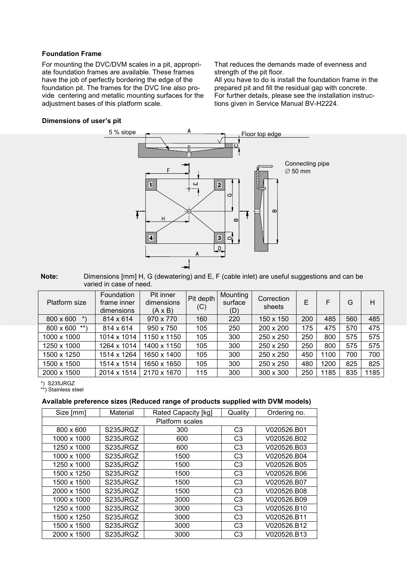### **Foundation Frame**

For mounting the DVC/DVM scales in a pit, appropriate foundation frames are available. These frames have the job of perfectly bordering the edge of the foundation pit. The frames for the DVC line also provide centering and metallic mounting surfaces for the adjustment bases of this platform scale.

That reduces the demands made of evenness and strength of the pit floor.

All you have to do is install the foundation frame in the prepared pit and fill the residual gap with concrete. For further details, please see the installation instructions given in Service Manual BV-H2224.

### **Dimensions of user's pit**



#### **Note:** Dimensions [mm] H, G (dewatering) and E, F (cable inlet) are useful suggestions and can be varied in case of need.

| Platform size        | Foundation<br>frame inner<br>dimensions | Pit inner<br>dimensions<br>$(A \times B)$ | Pit depth<br>(C) | Mounting<br>surface<br>(D) | Correction<br>sheets | E   | F    | G   | Н    |
|----------------------|-----------------------------------------|-------------------------------------------|------------------|----------------------------|----------------------|-----|------|-----|------|
| 800 x 600<br>$\star$ | 814 x 614                               | 970 x 770                                 | 160              | 220                        | 150 x 150            | 200 | 485  | 560 | 485  |
| $***$ \<br>800 x 600 | 814 x 614                               | 950 x 750                                 | 105              | 250                        | 200 x 200            | 175 | 475  | 570 | 475  |
| 1000 x 1000          | 1014 x 1014                             | 1150 x 1150                               | 105              | 300                        | 250 x 250            | 250 | 800  | 575 | 575  |
| 1250 x 1000          | 1264 x 1014                             | 1400 x 1150                               | 105              | 300                        | 250 x 250            | 250 | 800  | 575 | 575  |
| 1500 x 1250          | 1514 x 1264                             | 1650 x 1400                               | 105              | 300                        | 250 x 250            | 450 | 1100 | 700 | 700  |
| 1500 x 1500          | 1514 x 1514                             | 1650 x 1650                               | 105              | 300                        | 250 x 250            | 480 | 1200 | 825 | 825  |
| 2000 x 1500          | 2014 x 1514                             | 2170 x 1670                               | 115              | 300                        | 300 x 300            | 250 | 1185 | 835 | 1185 |

\*) S235JRGZ

\*\*) Stainless steel

# **Available preference sizes (Reduced range of products supplied with DVM models)**

| Size [mm]   | Material               | Rated Capacity [kg] | Quality        | Ordering no. |  |  |  |
|-------------|------------------------|---------------------|----------------|--------------|--|--|--|
|             | <b>Platform scales</b> |                     |                |              |  |  |  |
| 800 x 600   | S235JRGZ               | 300                 | C <sub>3</sub> | V020526.B01  |  |  |  |
| 1000 x 1000 | S235JRGZ               | 600                 | C <sub>3</sub> | V020526.B02  |  |  |  |
| 1250 x 1000 | S235JRGZ               | 600                 | C <sub>3</sub> | V020526.B03  |  |  |  |
| 1000 x 1000 | S235JRGZ               | 1500                | C <sub>3</sub> | V020526.B04  |  |  |  |
| 1250 x 1000 | S235JRGZ               | 1500                | C <sub>3</sub> | V020526.B05  |  |  |  |
| 1500 x 1250 | S235JRGZ               | 1500                | C <sub>3</sub> | V020526.B06  |  |  |  |
| 1500 x 1500 | S235JRGZ               | 1500                | C <sub>3</sub> | V020526.B07  |  |  |  |
| 2000 x 1500 | S235JRGZ               | 1500                | C <sub>3</sub> | V020526.B08  |  |  |  |
| 1000 x 1000 | S235JRGZ               | 3000                | C <sub>3</sub> | V020526.B09  |  |  |  |
| 1250 x 1000 | S235JRGZ               | 3000                | C <sub>3</sub> | V020526.B10  |  |  |  |
| 1500 x 1250 | S235JRGZ               | 3000                | C <sub>3</sub> | V020526.B11  |  |  |  |
| 1500 x 1500 | S235JRGZ               | 3000                | C <sub>3</sub> | V020526.B12  |  |  |  |
| 2000 x 1500 | S235JRGZ               | 3000                | C <sub>3</sub> | V020526.B13  |  |  |  |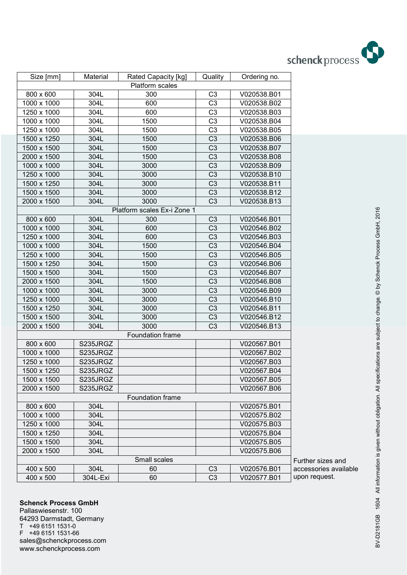

| Size [mm]   | Material | Rated Capacity [kg]         | Quality        | Ordering no. |        |
|-------------|----------|-----------------------------|----------------|--------------|--------|
|             |          | Platform scales             |                |              |        |
| 800 x 600   | 304L     | 300                         | C <sub>3</sub> | V020538.B01  |        |
| 1000 x 1000 | 304L     | 600                         | C <sub>3</sub> | V020538.B02  |        |
| 1250 x 1000 | 304L     | 600                         | C <sub>3</sub> | V020538.B03  |        |
| 1000 x 1000 | 304L     | 1500                        | C <sub>3</sub> | V020538.B04  |        |
| 1250 x 1000 | 304L     | 1500                        | C <sub>3</sub> | V020538.B05  |        |
| 1500 x 1250 | 304L     | 1500                        | C <sub>3</sub> | V020538.B06  |        |
| 1500 x 1500 | 304L     | 1500                        | C <sub>3</sub> | V020538.B07  |        |
| 2000 x 1500 | 304L     | 1500                        | C <sub>3</sub> | V020538.B08  |        |
| 1000 x 1000 | 304L     | 3000                        | C <sub>3</sub> | V020538.B09  |        |
| 1250 x 1000 | 304L     | 3000                        | C <sub>3</sub> | V020538.B10  |        |
| 1500 x 1250 | 304L     | 3000                        | C <sub>3</sub> | V020538.B11  |        |
| 1500 x 1500 | 304L     | 3000                        | C <sub>3</sub> | V020538.B12  |        |
| 2000 x 1500 | 304L     | 3000                        | C <sub>3</sub> | V020538.B13  |        |
|             |          | Platform scales Ex-i Zone 1 |                |              |        |
| 800 x 600   | 304L     | 300                         | C <sub>3</sub> | V020546.B01  |        |
| 1000 x 1000 | 304L     | 600                         | C <sub>3</sub> | V020546.B02  |        |
| 1250 x 1000 | 304L     | 600                         | C <sub>3</sub> | V020546.B03  |        |
| 1000 x 1000 | 304L     | 1500                        | C <sub>3</sub> | V020546.B04  |        |
| 1250 x 1000 | 304L     | 1500                        | C <sub>3</sub> | V020546.B05  |        |
| 1500 x 1250 | 304L     | 1500                        | C <sub>3</sub> | V020546.B06  |        |
| 1500 x 1500 | 304L     | 1500                        | C <sub>3</sub> | V020546.B07  |        |
| 2000 x 1500 | 304L     | 1500                        | C <sub>3</sub> | V020546.B08  |        |
| 1000 x 1000 | 304L     | 3000                        | C <sub>3</sub> | V020546.B09  |        |
| 1250 x 1000 | 304L     | 3000                        | C <sub>3</sub> | V020546.B10  |        |
| 1500 x 1250 | 304L     | 3000                        | C <sub>3</sub> | V020546.B11  |        |
| 1500 x 1500 | 304L     | 3000                        | C <sub>3</sub> | V020546.B12  |        |
| 2000 x 1500 | 304L     | 3000                        | C <sub>3</sub> | V020546.B13  |        |
|             |          | Foundation frame            |                |              |        |
| 800 x 600   | S235JRGZ |                             |                | V020567.B01  |        |
| 1000 x 1000 | S235JRGZ |                             |                | V020567.B02  |        |
| 1250 x 1000 | S235JRGZ |                             |                | V020567.B03  |        |
| 1500 x 1250 | S235JRGZ |                             |                | V020567.B04  |        |
| 1500 x 1500 | S235JRGZ |                             |                | V020567.B05  |        |
| 2000 x 1500 | S235JRGZ |                             |                | V020567.B06  |        |
|             |          | Foundation frame            |                |              |        |
| 800 x 600   | 304L     |                             |                | V020575.B01  |        |
| 1000 x 1000 | 304L     |                             |                | V020575.B02  |        |
| 1250 x 1000 | 304L     |                             |                | V020575.B03  |        |
| 1500 x 1250 | 304L     |                             |                | V020575.B04  |        |
| 1500 x 1500 | 304L     |                             |                | V020575.B05  |        |
| 2000 x 1500 | 304L     |                             |                | V020575.B06  |        |
|             |          | Small scales                |                |              | Furthe |
| 400 x 500   | 304L     | 60                          | C3             | V020576.B01  | acces  |
| 400 x 500   | 304L-Exi | 60                          | C <sub>3</sub> | V020577.B01  | upon   |
|             |          |                             |                |              |        |

er sizes and sories available request.

**Schenck Process GmbH** Pallaswiesenstr. 100 64293 Darmstadt, Germany T +49 6151 1531-0<br>F +49 6151 1531-6 F +49 6151 1531-66 sales@schenckprocess.com www.schenckprocess.com